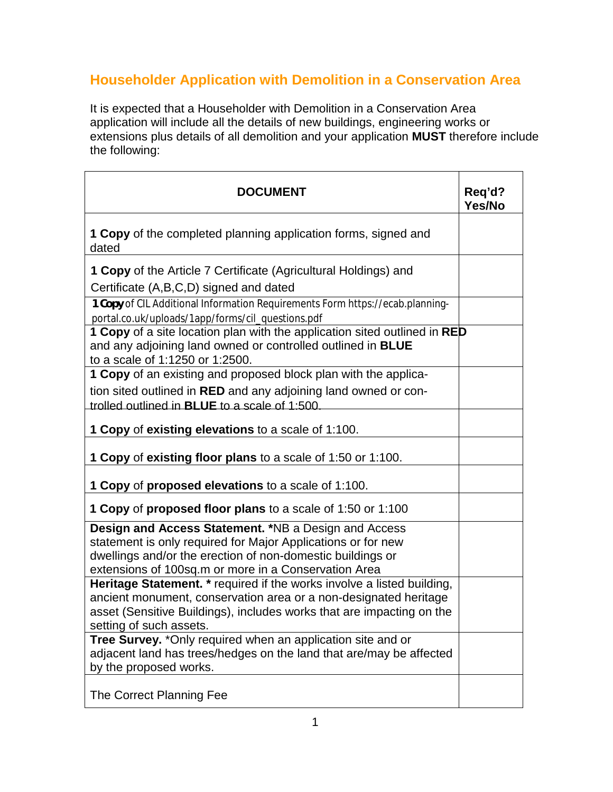## **Householder Application with Demolition in a Conservation Area**

It is expected that a Householder with Demolition in a Conservation Area application will include all the details of new buildings, engineering works or extensions plus details of all demolition and your application **MUST** therefore include the following:

| <b>DOCUMENT</b>                                                                                                                                                                    | Req'd?<br>Yes/No |
|------------------------------------------------------------------------------------------------------------------------------------------------------------------------------------|------------------|
| <b>1 Copy</b> of the completed planning application forms, signed and<br>dated                                                                                                     |                  |
| 1 Copy of the Article 7 Certificate (Agricultural Holdings) and                                                                                                                    |                  |
| Certificate (A,B,C,D) signed and dated                                                                                                                                             |                  |
| 1 Copy of CIL Additional Information Requirements Form https://ecab.planning-<br>portal.co.uk/uploads/1app/forms/cil_questions.pdf                                                 |                  |
| 1 Copy of a site location plan with the application sited outlined in RED<br>and any adjoining land owned or controlled outlined in <b>BLUE</b><br>to a scale of 1:1250 or 1:2500. |                  |
| 1 Copy of an existing and proposed block plan with the applica-                                                                                                                    |                  |
| tion sited outlined in RED and any adjoining land owned or con-<br>trolled outlined in <b>BLUE</b> to a scale of 1:500                                                             |                  |
| 1 Copy of existing elevations to a scale of 1:100.                                                                                                                                 |                  |
| 1 Copy of existing floor plans to a scale of 1:50 or 1:100.                                                                                                                        |                  |
| <b>1 Copy of proposed elevations to a scale of 1:100.</b>                                                                                                                          |                  |
| <b>1 Copy of proposed floor plans to a scale of 1:50 or 1:100</b>                                                                                                                  |                  |
| <b>Design and Access Statement. *NB a Design and Access</b>                                                                                                                        |                  |
| statement is only required for Major Applications or for new<br>dwellings and/or the erection of non-domestic buildings or                                                         |                  |
| extensions of 100sq.m or more in a Conservation Area                                                                                                                               |                  |
| Heritage Statement. * required if the works involve a listed building,                                                                                                             |                  |
| ancient monument, conservation area or a non-designated heritage                                                                                                                   |                  |
| asset (Sensitive Buildings), includes works that are impacting on the                                                                                                              |                  |
| setting of such assets.                                                                                                                                                            |                  |
| <b>Tree Survey.</b> *Only required when an application site and or                                                                                                                 |                  |
| adjacent land has trees/hedges on the land that are/may be affected<br>by the proposed works.                                                                                      |                  |
| The Correct Planning Fee                                                                                                                                                           |                  |